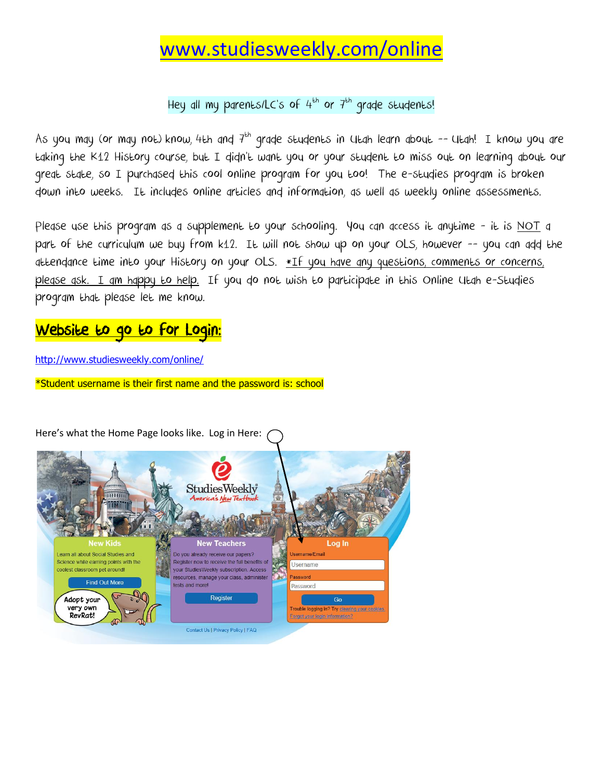## [www.studiesweekly.com/online](http://www.studiesweekly.com/online)

Hey all my parents/LC's of  $4^{th}$  or  $7^{th}$  grade students!

As you may (or may not) know, 4th and  $7<sup>th</sup>$  grade students in Utah learn about -- Utah! I know you are taking the K12 History course, but I didn't want you or your student to miss out on learning about our great state, so I purchased this cool online program for you too! The e-studies program is broken down into weeks. It includes online articles and information, as well as weekly online assessments.

Please use this program as a supplement to your schooling. You can access it anytime - it is <u>NOT</u> a part of the curriculum we buy from k12. It will not show up on your OLS, however -- you can add the attendance time into your History on your OLS. \*If you have any questions, comments or concerns, please ask. I am happy to help. If you do not wish to participate in this Online Utah e-Studies program that please let me know.

## <u>Website to go to for Login:</u>

[http://www.studiesweekly.com/online/](https://webmail.uintah.net/owa/redir.aspx?C=bcca8a1a1b8644f4ac6292fb9e13d18e&URL=http%3a%2f%2fwww.studiesweekly.com%2fonline%2f)

\*Student username is their first name and the password is: school

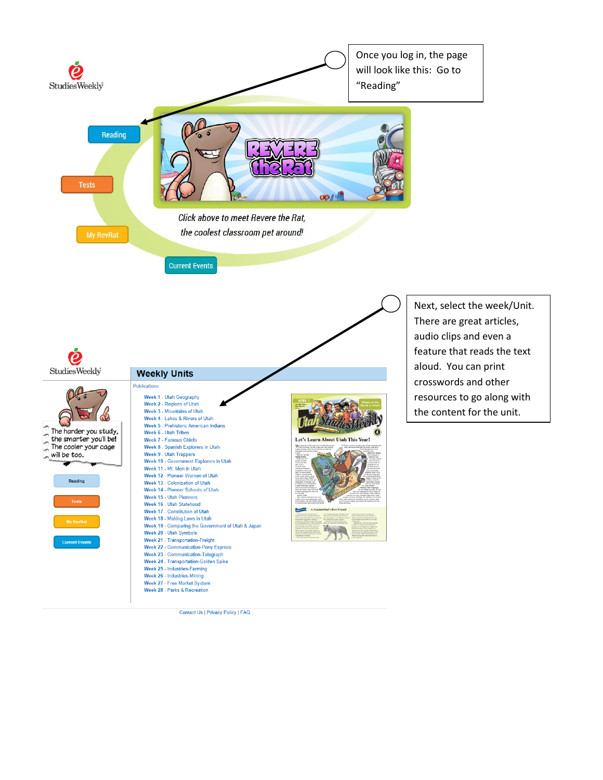

Contact Us | Privacy Policy | FAQ